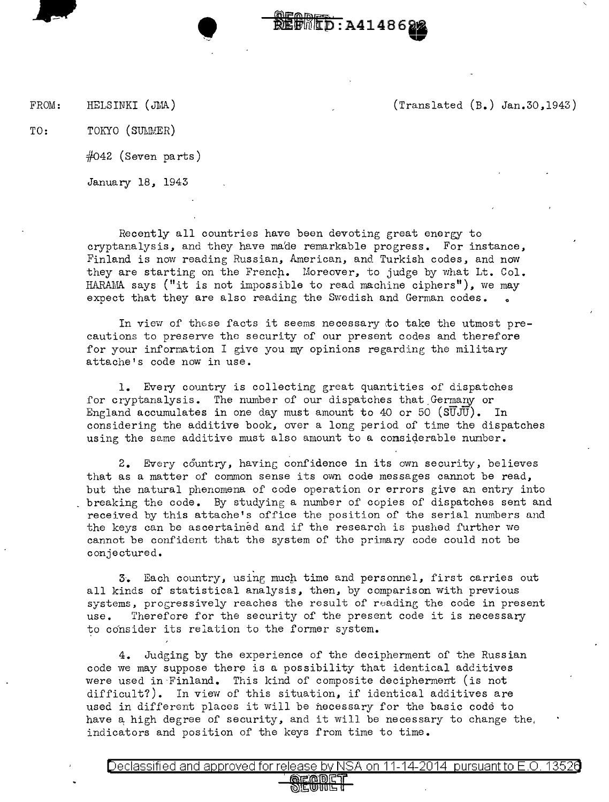FROM: HELSINKI (JMA) (Translated (B.) Jan.30,1943)

TO: TOKYO (SULMER)

 $#042$  (Seven parts)

January 18, 1943

Recently all countries have been devoting great energy to cryptanalysis, and they have made remarkable progress. For instance, Finland is now reading Russian, American, and Turkish codes, and now they are starting on the French. Moreover, to judge by what Lt. Col. HARAMA says ("it is not impossible to read machine ciphers"), we may expect that they are also reading the Swedish and German codes. .

**REGRED: A414862** 

In view of these facts it seems necessary to take the utmost precautions to preserve the security of our present codes and therefore for your information I give you my opinions regarding the military attache's code now in use.

1. Every country is collecting great quantities of dispatches for cryptanalysis. The number of our dispatches that Germany or England accumulates in one day must amount to 40 or 50  $(SUJU)$ . In considering the additive book, over a long period of time the dispatches using the same additive must also amount to a considerable number.

2. Every country, having confidence in its own security, believes that as a matter of common sense its own code messages cannot be read, but the natural phenomena of code operation or errors give an entry into breaking the code. By studying a number of copies of dispatches sent and received by this attache's office the position of the serial numbers and the keys can be ascertained and if the research is pushed further we cannot be confident that the system of the primary code could not be conjectured.

3. Each country, using much time and personnel, first carries out all kinds of statistical analysis, then, by comparison with previous systems, progressively reaches the result of reading the code in present use. Therefore for the security of the present code it is necessary to consider its relation to the former system.

4. Judging by the experience of the decipherment of the Russian code we may suppose there is a possibility that identical additives were used in Finland. This kind of composite decipherment (is not difficult?). In view of this situation, if identical additives are used in different places it will be necessary for the basic code to have a high degree of security, and it will be necessary to change the, indicators and position of the keys from time to time.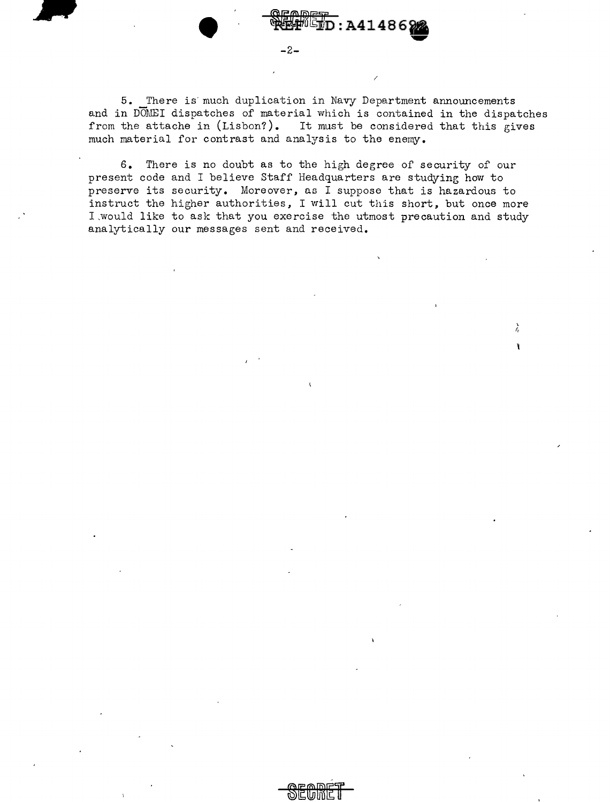5. There is' much duplication in Navy Department announcements and in DOMEI dispatches of material which is contained in the dispatches from the attache in (Lisbon?). It must be considered that this gives much material for contrast and analysis to the enemy.

/

λ

**ID:A414869** 

 $\begin{picture}(180,170)(-30,170)(-20,170)(-20,170)(-20,170)(-20,170)(-20,170)(-20,170)(-20,170)(-20,170)(-20,170)(-20,170)(-20,170)(-20,170)(-20,170)(-20,170)(-20,170)(-20,170)(-20,170)(-20,170)(-20,170)(-20,170)(-20,170)(-20,170)(-20,170)(-20,170)(-20,170$ 

6. There is no doubt as to the high degree of security of our present code and I believe Staff Headquarters are studying how to preserve its security. Moreover, as I suppose that is hazardous to instruct the higher authorities, I will cut this short, but once more I,would like to ask that you exercise the utmost precaution and study analytically our messages sent and received.